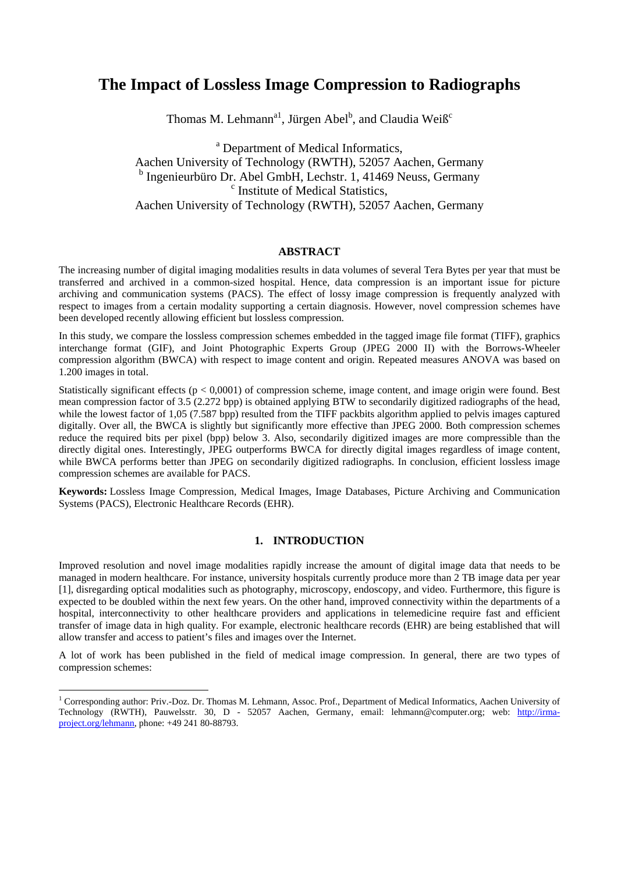# **The Impact of Lossless Image Compression to Radiographs**

Thomas M. Lehmann $^{a1}$ , Jürgen Abel<sup>b</sup>, and Claudia Weiß $^c$ 

<sup>a</sup> Department of Medical Informatics, Aachen University of Technology (RWTH), 52057 Aachen, Germany <sup>b</sup> Ingenieurbüro Dr. Abel GmbH, Lechstr. 1, 41469 Neuss, Germany <sup>c</sup> Institute of Medical Statistics. Aachen University of Technology (RWTH), 52057 Aachen, Germany

## **ABSTRACT**

The increasing number of digital imaging modalities results in data volumes of several Tera Bytes per year that must be transferred and archived in a common-sized hospital. Hence, data compression is an important issue for picture archiving and communication systems (PACS). The effect of lossy image compression is frequently analyzed with respect to images from a certain modality supporting a certain diagnosis. However, novel compression schemes have been developed recently allowing efficient but lossless compression.

In this study, we compare the lossless compression schemes embedded in the tagged image file format (TIFF), graphics interchange format (GIF), and Joint Photographic Experts Group (JPEG 2000 II) with the Borrows-Wheeler compression algorithm (BWCA) with respect to image content and origin. Repeated measures ANOVA was based on 1.200 images in total.

Statistically significant effects (p < 0,0001) of compression scheme, image content, and image origin were found. Best mean compression factor of 3.5 (2.272 bpp) is obtained applying BTW to secondarily digitized radiographs of the head, while the lowest factor of 1,05 (7.587 bpp) resulted from the TIFF packbits algorithm applied to pelvis images captured digitally. Over all, the BWCA is slightly but significantly more effective than JPEG 2000. Both compression schemes reduce the required bits per pixel (bpp) below 3. Also, secondarily digitized images are more compressible than the directly digital ones. Interestingly, JPEG outperforms BWCA for directly digital images regardless of image content, while BWCA performs better than JPEG on secondarily digitized radiographs. In conclusion, efficient lossless image compression schemes are available for PACS.

**Keywords:** Lossless Image Compression, Medical Images, Image Databases, Picture Archiving and Communication Systems (PACS), Electronic Healthcare Records (EHR).

## **1. INTRODUCTION**

Improved resolution and novel image modalities rapidly increase the amount of digital image data that needs to be managed in modern healthcare. For instance, university hospitals currently produce more than 2 TB image data per year [1], disregarding optical modalities such as photography, microscopy, endoscopy, and video. Furthermore, this figure is expected to be doubled within the next few years. On the other hand, improved connectivity within the departments of a hospital, interconnectivity to other healthcare providers and applications in telemedicine require fast and efficient transfer of image data in high quality. For example, electronic healthcare records (EHR) are being established that will allow transfer and access to patient's files and images over the Internet.

A lot of work has been published in the field of medical image compression. In general, there are two types of compression schemes:

 $\overline{a}$ 

<span id="page-0-0"></span><sup>&</sup>lt;sup>1</sup> Corresponding author: Priv.-Doz. Dr. Thomas M. Lehmann, Assoc. Prof., Department of Medical Informatics, Aachen University of Technology (RWTH), Pauwelsstr. 30, D - 52057 Aachen, Germany, email: lehmann@computer.org; web: http://irmaproject.org/lehmann, phone: +49 241 80-88793.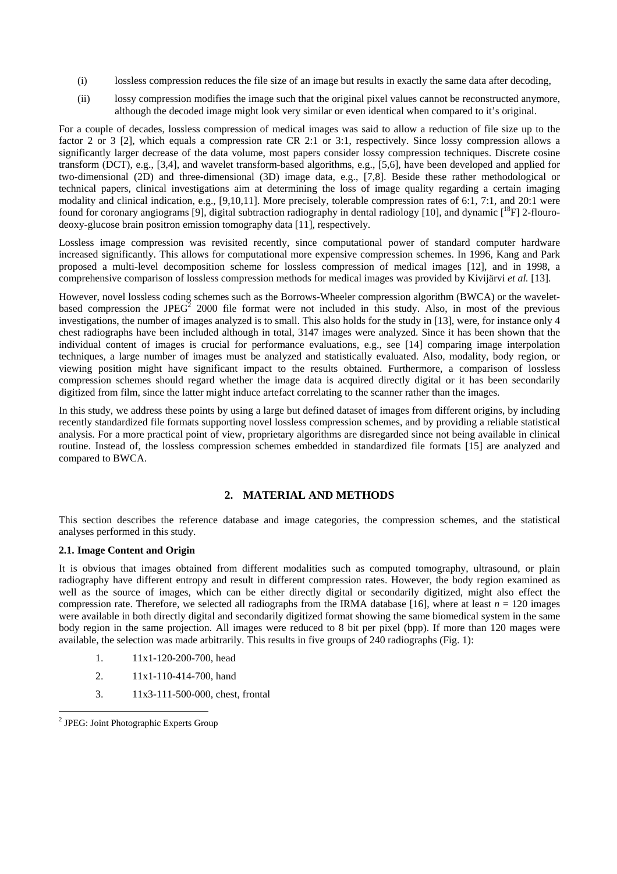- (i) lossless compression reduces the file size of an image but results in exactly the same data after decoding,
- (ii) lossy compression modifies the image such that the original pixel values cannot be reconstructed anymore, although the decoded image might look very similar or even identical when compared to it's original.

For a couple of decades, lossless compression of medical images was said to allow a reduction of file size up to the factor 2 or 3 [2], which equals a compression rate CR 2:1 or 3:1, respectively. Since lossy compression allows a significantly larger decrease of the data volume, most papers consider lossy compression techniques. Discrete cosine transform (DCT), e.g., [3,4], and wavelet transform-based algorithms, e.g., [5,6], have been developed and applied for two-dimensional (2D) and three-dimensional (3D) image data, e.g., [7,8]. Beside these rather methodological or technical papers, clinical investigations aim at determining the loss of image quality regarding a certain imaging modality and clinical indication, e.g., [9,10,11]. More precisely, tolerable compression rates of 6:1, 7:1, and 20:1 were found for coronary angiograms [9], digital subtraction radiography in dental radiology [10], and dynamic  $\int^{18}F$ ] 2-flourodeoxy-glucose brain positron emission tomography data [11], respectively.

Lossless image compression was revisited recently, since computational power of standard computer hardware increased significantly. This allows for computational more expensive compression schemes. In 1996, Kang and Park proposed a multi-level decomposition scheme for lossless compression of medical images [12], and in 1998, a comprehensive comparison of lossless compression methods for medical images was provided by Kivijärvi *et al.* [13].

However, novel lossless coding schemes such as the Borrows-Wheeler compression algorithm (BWCA) or the wavelet-based compression the JPEG<sup>[2](#page-1-0)</sup> 2000 file format were not included in this study. Also, in most of the previous investigations, the number of images analyzed is to small. This also holds for the study in [13], were, for instance only 4 chest radiographs have been included although in total, 3147 images were analyzed. Since it has been shown that the individual content of images is crucial for performance evaluations, e.g., see [14] comparing image interpolation techniques, a large number of images must be analyzed and statistically evaluated. Also, modality, body region, or viewing position might have significant impact to the results obtained. Furthermore, a comparison of lossless compression schemes should regard whether the image data is acquired directly digital or it has been secondarily digitized from film, since the latter might induce artefact correlating to the scanner rather than the images.

In this study, we address these points by using a large but defined dataset of images from different origins, by including recently standardized file formats supporting novel lossless compression schemes, and by providing a reliable statistical analysis. For a more practical point of view, proprietary algorithms are disregarded since not being available in clinical routine. Instead of, the lossless compression schemes embedded in standardized file formats [15] are analyzed and compared to BWCA.

## **2. MATERIAL AND METHODS**

This section describes the reference database and image categories, the compression schemes, and the statistical analyses performed in this study.

## **2.1. Image Content and Origin**

It is obvious that images obtained from different modalities such as computed tomography, ultrasound, or plain radiography have different entropy and result in different compression rates. However, the body region examined as well as the source of images, which can be either directly digital or secondarily digitized, might also effect the compression rate. Therefore, we selected all radiographs from the IRMA database [16], where at least  $n = 120$  images were available in both directly digital and secondarily digitized format showing the same biomedical system in the same body region in the same projection. All images were reduced to 8 bit per pixel (bpp). If more than 120 mages were available, the selection was made arbitrarily. This results in five groups of 240 radiographs (Fig. 1):

- 1. 11x1-120-200-700, head
- 2. 11x1-110-414-700, hand
- 3. 11x3-111-500-000, chest, frontal

 $\overline{a}$ 

<span id="page-1-0"></span><sup>&</sup>lt;sup>2</sup> JPEG: Joint Photographic Experts Group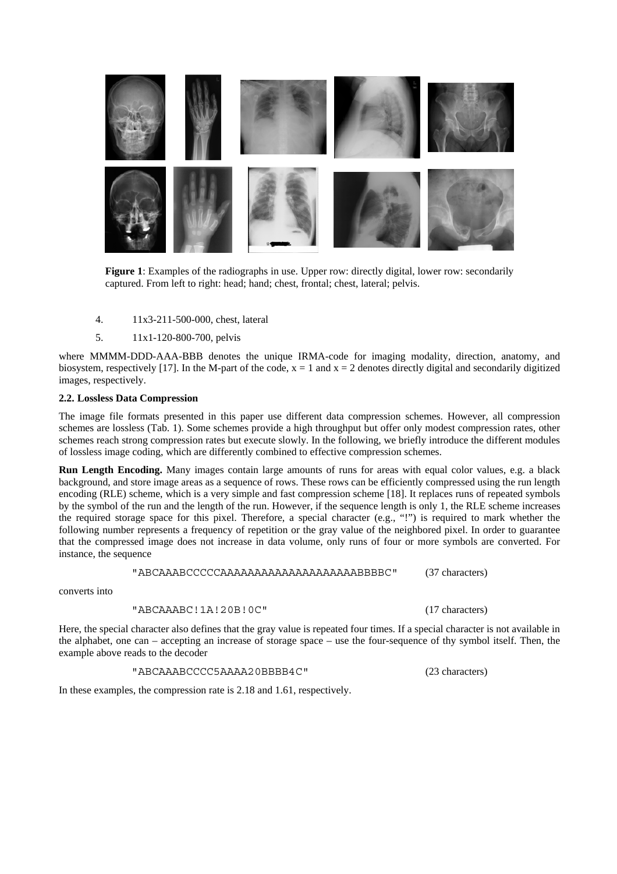

**Figure 1**: Examples of the radiographs in use. Upper row: directly digital, lower row: secondarily captured. From left to right: head; hand; chest, frontal; chest, lateral; pelvis.

4. 11x3-211-500-000, chest, lateral

### 5. 11x1-120-800-700, pelvis

where MMMM-DDD-AAA-BBB denotes the unique IRMA-code for imaging modality, direction, anatomy, and biosystem, respectively [17]. In the M-part of the code,  $x = 1$  and  $x = 2$  denotes directly digital and secondarily digitized images, respectively.

#### **2.2. Lossless Data Compression**

The image file formats presented in this paper use different data compression schemes. However, all compression schemes are lossless (Tab. 1). Some schemes provide a high throughput but offer only modest compression rates, other schemes reach strong compression rates but execute slowly. In the following, we briefly introduce the different modules of lossless image coding, which are differently combined to effective compression schemes.

**Run Length Encoding.** Many images contain large amounts of runs for areas with equal color values, e.g. a black background, and store image areas as a sequence of rows. These rows can be efficiently compressed using the run length encoding (RLE) scheme, which is a very simple and fast compression scheme [18]. It replaces runs of repeated symbols by the symbol of the run and the length of the run. However, if the sequence length is only 1, the RLE scheme increases the required storage space for this pixel. Therefore, a special character (e.g., "!") is required to mark whether the following number represents a frequency of repetition or the gray value of the neighbored pixel. In order to guarantee that the compressed image does not increase in data volume, only runs of four or more symbols are converted. For instance, the sequence

"ABCAAABCCCCCAAAAAAAAAAAAAAAAAAAABBBBC" (37 characters)

converts into

"ABCAAABC!1A!20B!0C" (17 characters)

Here, the special character also defines that the gray value is repeated four times. If a special character is not available in the alphabet, one can – accepting an increase of storage space – use the four-sequence of thy symbol itself. Then, the example above reads to the decoder

"ABCAAABCCCC5AAAA20BBBB4C" (23 characters)

In these examples, the compression rate is 2.18 and 1.61, respectively.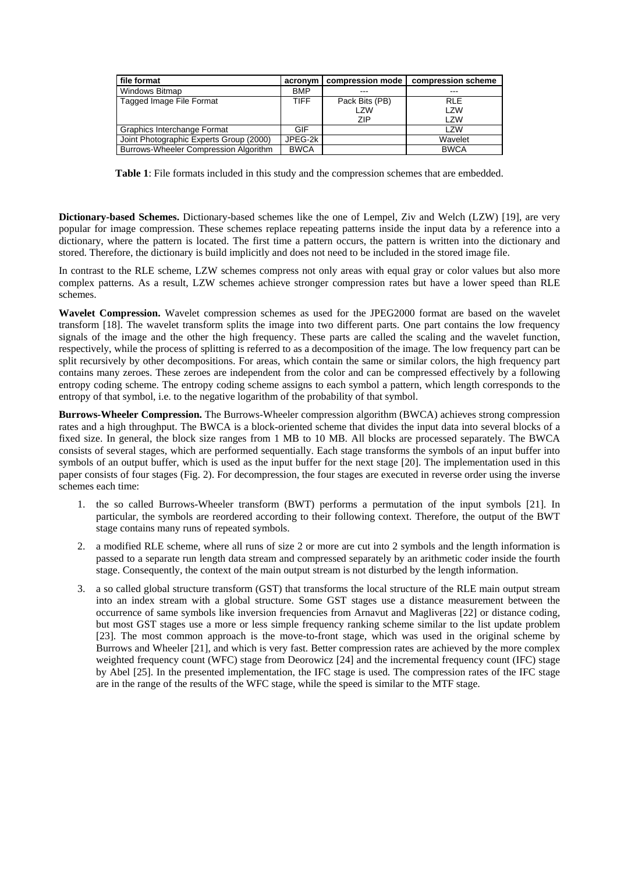| file format                             | acronym     | compression mode | compression scheme |
|-----------------------------------------|-------------|------------------|--------------------|
| Windows Bitmap                          | <b>BMP</b>  | ---              |                    |
| Tagged Image File Format                | TIFF        | Pack Bits (PB)   | <b>RLE</b>         |
|                                         |             | 17W              | 17W                |
|                                         |             | ZIP              | LZW                |
| Graphics Interchange Format             | GIF         |                  | LZW                |
| Joint Photographic Experts Group (2000) | JPEG-2k     |                  | Wavelet            |
| Burrows-Wheeler Compression Algorithm   | <b>BWCA</b> |                  | <b>BWCA</b>        |

**Table 1**: File formats included in this study and the compression schemes that are embedded.

**Dictionary-based Schemes.** Dictionary-based schemes like the one of Lempel, Ziv and Welch (LZW) [19], are very popular for image compression. These schemes replace repeating patterns inside the input data by a reference into a dictionary, where the pattern is located. The first time a pattern occurs, the pattern is written into the dictionary and stored. Therefore, the dictionary is build implicitly and does not need to be included in the stored image file.

In contrast to the RLE scheme, LZW schemes compress not only areas with equal gray or color values but also more complex patterns. As a result, LZW schemes achieve stronger compression rates but have a lower speed than RLE schemes.

**Wavelet Compression.** Wavelet compression schemes as used for the JPEG2000 format are based on the wavelet transform [18]. The wavelet transform splits the image into two different parts. One part contains the low frequency signals of the image and the other the high frequency. These parts are called the scaling and the wavelet function, respectively, while the process of splitting is referred to as a decomposition of the image. The low frequency part can be split recursively by other decompositions. For areas, which contain the same or similar colors, the high frequency part contains many zeroes. These zeroes are independent from the color and can be compressed effectively by a following entropy coding scheme. The entropy coding scheme assigns to each symbol a pattern, which length corresponds to the entropy of that symbol, i.e. to the negative logarithm of the probability of that symbol.

**Burrows-Wheeler Compression.** The Burrows-Wheeler compression algorithm (BWCA) achieves strong compression rates and a high throughput. The BWCA is a block-oriented scheme that divides the input data into several blocks of a fixed size. In general, the block size ranges from 1 MB to 10 MB. All blocks are processed separately. The BWCA consists of several stages, which are performed sequentially. Each stage transforms the symbols of an input buffer into symbols of an output buffer, which is used as the input buffer for the next stage [20]. The implementation used in this paper consists of four stages (Fig. 2). For decompression, the four stages are executed in reverse order using the inverse schemes each time:

- 1. the so called Burrows-Wheeler transform (BWT) performs a permutation of the input symbols [21]. In particular, the symbols are reordered according to their following context. Therefore, the output of the BWT stage contains many runs of repeated symbols.
- 2. a modified RLE scheme, where all runs of size 2 or more are cut into 2 symbols and the length information is passed to a separate run length data stream and compressed separately by an arithmetic coder inside the fourth stage. Consequently, the context of the main output stream is not disturbed by the length information.
- 3. a so called global structure transform (GST) that transforms the local structure of the RLE main output stream into an index stream with a global structure. Some GST stages use a distance measurement between the occurrence of same symbols like inversion frequencies from Arnavut and Magliveras [22] or distance coding, but most GST stages use a more or less simple frequency ranking scheme similar to the list update problem [23]. The most common approach is the move-to-front stage, which was used in the original scheme by Burrows and Wheeler [21], and which is very fast. Better compression rates are achieved by the more complex weighted frequency count (WFC) stage from Deorowicz [24] and the incremental frequency count (IFC) stage by Abel [25]. In the presented implementation, the IFC stage is used. The compression rates of the IFC stage are in the range of the results of the WFC stage, while the speed is similar to the MTF stage.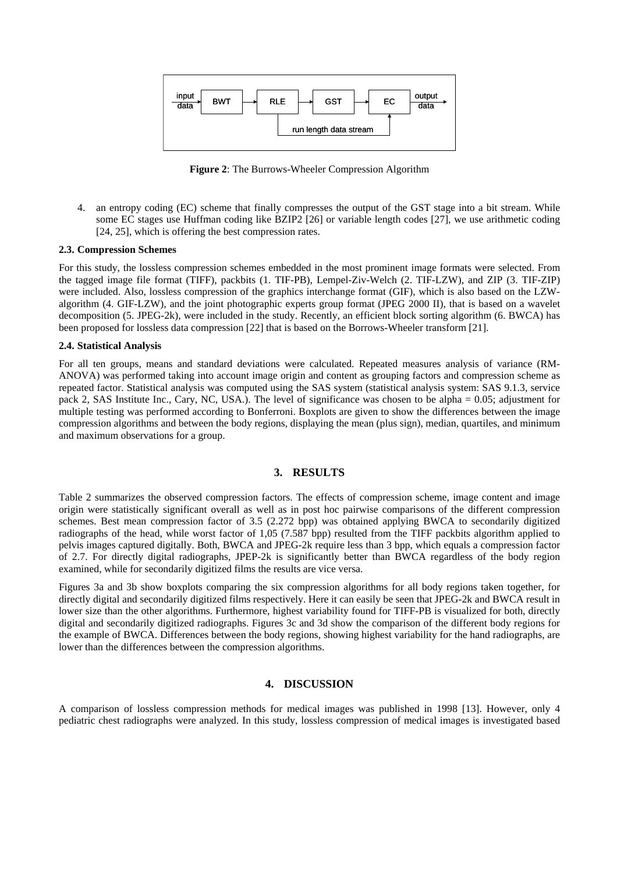

**Figure 2**: The Burrows-Wheeler Compression Algorithm

4. an entropy coding (EC) scheme that finally compresses the output of the GST stage into a bit stream. While some EC stages use Huffman coding like BZIP2 [26] or variable length codes [27], we use arithmetic coding [24, 25], which is offering the best compression rates.

#### **2.3. Compression Schemes**

For this study, the lossless compression schemes embedded in the most prominent image formats were selected. From the tagged image file format (TIFF), packbits (1. TIF-PB), Lempel-Ziv-Welch (2. TIF-LZW), and ZIP (3. TIF-ZIP) were included. Also, lossless compression of the graphics interchange format (GIF), which is also based on the LZWalgorithm (4. GIF-LZW), and the joint photographic experts group format (JPEG 2000 II), that is based on a wavelet decomposition (5. JPEG-2k), were included in the study. Recently, an efficient block sorting algorithm (6. BWCA) has been proposed for lossless data compression [22] that is based on the Borrows-Wheeler transform [21].

#### **2.4. Statistical Analysis**

For all ten groups, means and standard deviations were calculated. Repeated measures analysis of variance (RM-ANOVA) was performed taking into account image origin and content as grouping factors and compression scheme as repeated factor. Statistical analysis was computed using the SAS system (statistical analysis system: SAS 9.1.3, service pack 2, SAS Institute Inc., Cary, NC, USA.). The level of significance was chosen to be alpha = 0.05; adjustment for multiple testing was performed according to Bonferroni. Boxplots are given to show the differences between the image compression algorithms and between the body regions, displaying the mean (plus sign), median, quartiles, and minimum and maximum observations for a group.

## **3. RESULTS**

Table 2 summarizes the observed compression factors. The effects of compression scheme, image content and image origin were statistically significant overall as well as in post hoc pairwise comparisons of the different compression schemes. Best mean compression factor of 3.5 (2.272 bpp) was obtained applying BWCA to secondarily digitized radiographs of the head, while worst factor of 1,05 (7.587 bpp) resulted from the TIFF packbits algorithm applied to pelvis images captured digitally. Both, BWCA and JPEG-2k require less than 3 bpp, which equals a compression factor of 2.7. For directly digital radiographs, JPEP-2k is significantly better than BWCA regardless of the body region examined, while for secondarily digitized films the results are vice versa.

Figures 3a and 3b show boxplots comparing the six compression algorithms for all body regions taken together, for directly digital and secondarily digitized films respectively. Here it can easily be seen that JPEG-2k and BWCA result in lower size than the other algorithms. Furthermore, highest variability found for TIFF-PB is visualized for both, directly digital and secondarily digitized radiographs. Figures 3c and 3d show the comparison of the different body regions for the example of BWCA. Differences between the body regions, showing highest variability for the hand radiographs, are lower than the differences between the compression algorithms.

#### **4. DISCUSSION**

A comparison of lossless compression methods for medical images was published in 1998 [13]. However, only 4 pediatric chest radiographs were analyzed. In this study, lossless compression of medical images is investigated based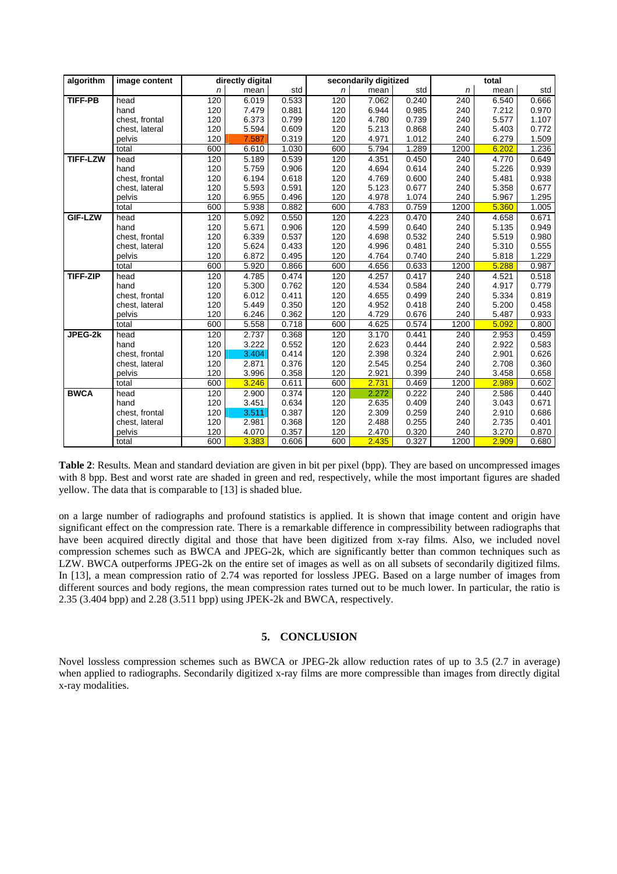| algorithm       | image content  |              | directly digital |       | secondarily digitized |       |       | total |       |       |
|-----------------|----------------|--------------|------------------|-------|-----------------------|-------|-------|-------|-------|-------|
|                 |                | $\mathsf{n}$ | mean             | std   | $\boldsymbol{n}$      | mean  | std   | n     | mean  | std   |
| <b>TIFF-PB</b>  | head           | 120          | 6.019            | 0.533 | 120                   | 7.062 | 0.240 | 240   | 6.540 | 0.666 |
|                 | hand           | 120          | 7.479            | 0.881 | 120                   | 6.944 | 0.985 | 240   | 7.212 | 0.970 |
|                 | chest, frontal | 120          | 6.373            | 0.799 | 120                   | 4.780 | 0.739 | 240   | 5.577 | 1.107 |
|                 | chest, lateral | 120          | 5.594            | 0.609 | 120                   | 5.213 | 0.868 | 240   | 5.403 | 0.772 |
|                 | pelvis         | 120          | 7.587            | 0.319 | 120                   | 4.971 | 1.012 | 240   | 6.279 | 1.509 |
|                 | total          | 600          | 6.610            | 1.030 | 600                   | 5.794 | 1.289 | 1200  | 6.202 | 1.236 |
| <b>TIFF-LZW</b> | head           | 120          | 5.189            | 0.539 | 120                   | 4.351 | 0.450 | 240   | 4.770 | 0.649 |
|                 | hand           | 120          | 5.759            | 0.906 | 120                   | 4.694 | 0.614 | 240   | 5.226 | 0.939 |
|                 | chest, frontal | 120          | 6.194            | 0.618 | 120                   | 4.769 | 0.600 | 240   | 5.481 | 0.938 |
|                 | chest, lateral | 120          | 5.593            | 0.591 | 120                   | 5.123 | 0.677 | 240   | 5.358 | 0.677 |
|                 | pelvis         | 120          | 6.955            | 0.496 | 120                   | 4.978 | 1.074 | 240   | 5.967 | 1.295 |
|                 | total          | 600          | 5.938            | 0.882 | 600                   | 4.783 | 0.759 | 1200  | 5.360 | 1.005 |
| <b>GIF-LZW</b>  | head           | 120          | 5.092            | 0.550 | 120                   | 4.223 | 0.470 | 240   | 4.658 | 0.671 |
|                 | hand           | 120          | 5.671            | 0.906 | 120                   | 4.599 | 0.640 | 240   | 5.135 | 0.949 |
|                 | chest, frontal | 120          | 6.339            | 0.537 | 120                   | 4.698 | 0.532 | 240   | 5.519 | 0.980 |
|                 | chest, lateral | 120          | 5.624            | 0.433 | 120                   | 4.996 | 0.481 | 240   | 5.310 | 0.555 |
|                 | pelvis         | 120          | 6.872            | 0.495 | 120                   | 4.764 | 0.740 | 240   | 5.818 | 1.229 |
|                 | total          | 600          | 5.920            | 0.866 | 600                   | 4.656 | 0.633 | 1200  | 5.288 | 0.987 |
| <b>TIFF-ZIP</b> | head           | 120          | 4.785            | 0.474 | 120                   | 4.257 | 0.417 | 240   | 4.521 | 0.518 |
|                 | hand           | 120          | 5.300            | 0.762 | 120                   | 4.534 | 0.584 | 240   | 4.917 | 0.779 |
|                 | chest, frontal | 120          | 6.012            | 0.411 | 120                   | 4.655 | 0.499 | 240   | 5.334 | 0.819 |
|                 | chest, lateral | 120          | 5.449            | 0.350 | 120                   | 4.952 | 0.418 | 240   | 5.200 | 0.458 |
|                 | pelvis         | 120          | 6.246            | 0.362 | 120                   | 4.729 | 0.676 | 240   | 5.487 | 0.933 |
|                 | total          | 600          | 5.558            | 0.718 | 600                   | 4.625 | 0.574 | 1200  | 5.092 | 0.800 |
| JPEG-2k         | head           | 120          | 2.737            | 0.368 | 120                   | 3.170 | 0.441 | 240   | 2.953 | 0.459 |
|                 | hand           | 120          | 3.222            | 0.552 | 120                   | 2.623 | 0.444 | 240   | 2.922 | 0.583 |
|                 | chest, frontal | 120          | 3.404            | 0.414 | 120                   | 2.398 | 0.324 | 240   | 2.901 | 0.626 |
|                 | chest, lateral | 120          | 2.871            | 0.376 | 120                   | 2.545 | 0.254 | 240   | 2.708 | 0.360 |
|                 | pelvis         | 120          | 3.996            | 0.358 | 120                   | 2.921 | 0.399 | 240   | 3.458 | 0.658 |
|                 | total          | 600          | 3.246            | 0.611 | 600                   | 2.731 | 0.469 | 1200  | 2.989 | 0.602 |
| <b>BWCA</b>     | head           | 120          | 2.900            | 0.374 | 120                   | 2.272 | 0.222 | 240   | 2.586 | 0.440 |
|                 | hand           | 120          | 3.451            | 0.634 | 120                   | 2.635 | 0.409 | 240   | 3.043 | 0.671 |
|                 | chest, frontal | 120          | 3.511            | 0.387 | 120                   | 2.309 | 0.259 | 240   | 2.910 | 0.686 |
|                 | chest, lateral | 120          | 2.981            | 0.368 | 120                   | 2.488 | 0.255 | 240   | 2.735 | 0.401 |
|                 | pelvis         | 120          | 4.070            | 0.357 | 120                   | 2.470 | 0.320 | 240   | 3.270 | 0.870 |
|                 | total          | 600          | 3.383            | 0.606 | 600                   | 2.435 | 0.327 | 1200  | 2.909 | 0.680 |

**Table 2**: Results. Mean and standard deviation are given in bit per pixel (bpp). They are based on uncompressed images with 8 bpp. Best and worst rate are shaded in green and red, respectively, while the most important figures are shaded yellow. The data that is comparable to [13] is shaded blue.

on a large number of radiographs and profound statistics is applied. It is shown that image content and origin have significant effect on the compression rate. There is a remarkable difference in compressibility between radiographs that have been acquired directly digital and those that have been digitized from x-ray films. Also, we included novel compression schemes such as BWCA and JPEG-2k, which are significantly better than common techniques such as LZW. BWCA outperforms JPEG-2k on the entire set of images as well as on all subsets of secondarily digitized films. In [13], a mean compression ratio of 2.74 was reported for lossless JPEG. Based on a large number of images from different sources and body regions, the mean compression rates turned out to be much lower. In particular, the ratio is 2.35 (3.404 bpp) and 2.28 (3.511 bpp) using JPEK-2k and BWCA, respectively.

## **5. CONCLUSION**

Novel lossless compression schemes such as BWCA or JPEG-2k allow reduction rates of up to 3.5 (2.7 in average) when applied to radiographs. Secondarily digitized x-ray films are more compressible than images from directly digital x-ray modalities.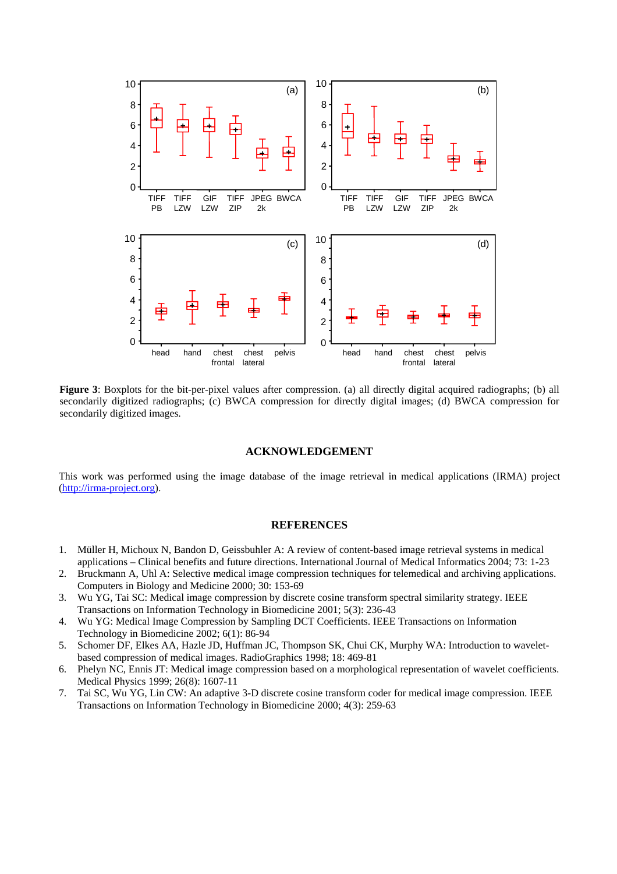

**Figure 3**: Boxplots for the bit-per-pixel values after compression. (a) all directly digital acquired radiographs; (b) all secondarily digitized radiographs; (c) BWCA compression for directly digital images; (d) BWCA compression for secondarily digitized images.

### **ACKNOWLEDGEMENT**

This work was performed using the image database of the image retrieval in medical applications (IRMA) project [\(http://irma-project.org\)](http://irma-project.org/).

#### **REFERENCES**

- 1. Müller H, Michoux N, Bandon D, Geissbuhler A: A review of content-based image retrieval systems in medical applications – Clinical benefits and future directions. International Journal of Medical Informatics 2004; 73: 1-23
- 2. Bruckmann A, Uhl A: Selective medical image compression techniques for telemedical and archiving applications. Computers in Biology and Medicine 2000; 30: 153-69
- 3. Wu YG, Tai SC: Medical image compression by discrete cosine transform spectral similarity strategy. IEEE Transactions on Information Technology in Biomedicine 2001; 5(3): 236-43
- 4. Wu YG: Medical Image Compression by Sampling DCT Coefficients. IEEE Transactions on Information Technology in Biomedicine 2002; 6(1): 86-94
- 5. Schomer DF, Elkes AA, Hazle JD, Huffman JC, Thompson SK, Chui CK, Murphy WA: Introduction to waveletbased compression of medical images. RadioGraphics 1998; 18: 469-81
- 6. Phelyn NC, Ennis JT: Medical image compression based on a morphological representation of wavelet coefficients. Medical Physics 1999; 26(8): 1607-11
- 7. Tai SC, Wu YG, Lin CW: An adaptive 3-D discrete cosine transform coder for medical image compression. IEEE Transactions on Information Technology in Biomedicine 2000; 4(3): 259-63